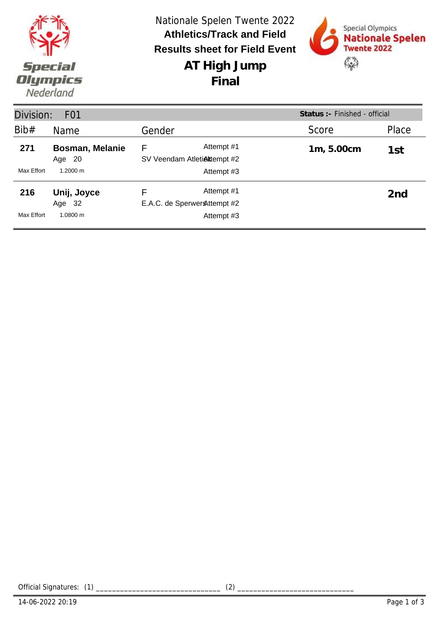|                       | Nationale Spelen Twente 2022<br><b>Athletics/Track and Field</b><br><b>Results sheet for Field Event</b> | Special Olympics<br>Nationale Spelen<br><b>Twente 2022</b> |
|-----------------------|----------------------------------------------------------------------------------------------------------|------------------------------------------------------------|
| Special               | AT High Jump                                                                                             | $\frac{1}{2}$                                              |
| Olympics<br>Nederland | Final                                                                                                    |                                                            |

| Division:         | F <sub>01</sub>                                  |                                                                | Status : - Finished - official |                 |
|-------------------|--------------------------------------------------|----------------------------------------------------------------|--------------------------------|-----------------|
| Bib#              | Name                                             | Gender                                                         | Score                          | Place           |
| 271<br>Max Effort | <b>Bosman, Melanie</b><br>-20<br>Age<br>1.2000 m | Attempt #1<br>F<br>SV Veendam Atletiektempt #2<br>Attempt #3   | 1m, 5.00cm                     | 1st             |
| 216<br>Max Effort | Unij, Joyce<br>Age 32<br>1.0800 m                | Attempt #1<br>F<br>E.A.C. de Sperwer & ttempt #2<br>Attempt #3 |                                | 2 <sub>nd</sub> |

Official Signatures: (1) \_\_\_\_\_\_\_\_\_\_\_\_\_\_\_\_\_\_\_\_\_\_\_\_\_\_\_\_\_\_\_ (2) \_\_\_\_\_\_\_\_\_\_\_\_\_\_\_\_\_\_\_\_\_\_\_\_\_\_\_\_\_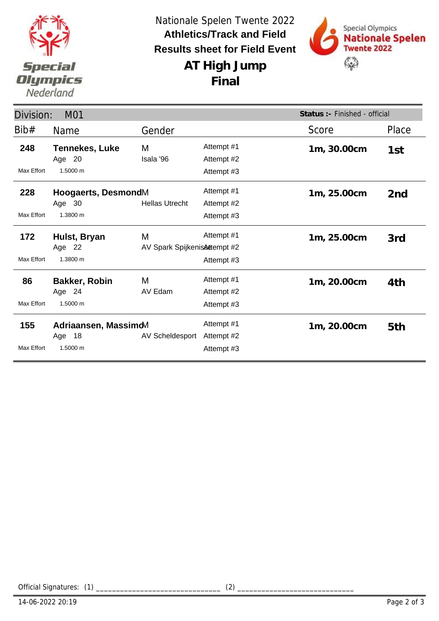

**AT High Jump** Nationale Spelen Twente 2022 **Results sheet for Field Event Athletics/Track and Field**

**Final**



| Status :- Finished - official<br>Division:<br>M01 |                       |                              |            |             |                 |
|---------------------------------------------------|-----------------------|------------------------------|------------|-------------|-----------------|
| Bib#                                              | Name                  | Gender                       |            | Score       | Place           |
| 248                                               | <b>Tennekes, Luke</b> | M                            | Attempt #1 | 1m, 30.00cm | 1st             |
|                                                   | Age 20                | Isala '96                    | Attempt #2 |             |                 |
| Max Effort                                        | 1.5000 m              |                              | Attempt #3 |             |                 |
| 228<br>Hoogaerts, DesmondM                        |                       |                              | Attempt #1 | 1m, 25.00cm | 2 <sub>nd</sub> |
|                                                   | Age 30                | <b>Hellas Utrecht</b>        | Attempt #2 |             |                 |
| Max Effort                                        | 1.3800 m              |                              | Attempt #3 |             |                 |
| 172                                               | Hulst, Bryan          | M                            | Attempt #1 | 1m, 25.00cm | 3rd             |
|                                                   | Age 22                | AV Spark SpijkenisAttempt #2 |            |             |                 |
| Max Effort                                        | 1.3800 m              |                              | Attempt #3 |             |                 |
| 86                                                | <b>Bakker, Robin</b>  | M                            | Attempt #1 | 1m, 20.00cm | 4th             |
|                                                   | Age 24                | AV Edam                      | Attempt #2 |             |                 |
| Max Effort                                        | 1.5000 m              |                              | Attempt #3 |             |                 |
| 155                                               | Adriaansen, MassimoM  |                              | Attempt #1 | 1m, 20.00cm | 5th             |
|                                                   | Age 18                | AV Scheldesport              | Attempt #2 |             |                 |
| <b>Max Effort</b>                                 | 1.5000 m              |                              | Attempt #3 |             |                 |

Official Signatures: (1) \_\_\_\_\_\_\_\_\_\_\_\_\_\_\_\_\_\_\_\_\_\_\_\_\_\_\_\_\_\_\_ (2) \_\_\_\_\_\_\_\_\_\_\_\_\_\_\_\_\_\_\_\_\_\_\_\_\_\_\_\_\_